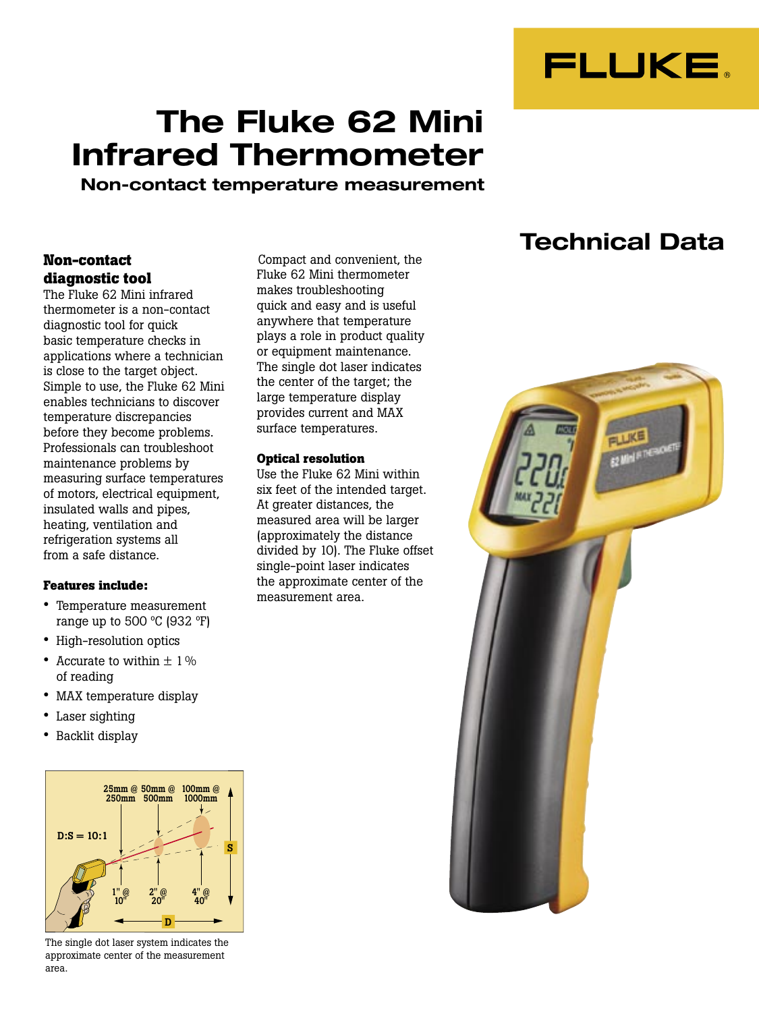

# **The Fluke 62 Mini Infrared Thermometer**

**Non-contact temperature measurement**

#### **Non-contact diagnostic tool**

The Fluke 62 Mini infrared thermometer is a non-contact diagnostic tool for quick basic temperature checks in applications where a technician is close to the target object. Simple to use, the Fluke 62 Mini enables technicians to discover temperature discrepancies before they become problems. Professionals can troubleshoot maintenance problems by measuring surface temperatures of motors, electrical equipment, insulated walls and pipes, heating, ventilation and refrigeration systems all from a safe distance.

#### **Features include:**

- Temperature measurement range up to 500  $\degree$ C (932  $\degree$ F)
- High-resolution optics
- Accurate to within  $\pm$  1% of reading
- MAX temperature display
- Laser sighting
- Backlit display



The single dot laser system indicates the approximate center of the measurement area.

Compact and convenient, the Fluke 62 Mini thermometer makes troubleshooting quick and easy and is useful anywhere that temperature plays a role in product quality or equipment maintenance. The single dot laser indicates the center of the target; the large temperature display provides current and MAX surface temperatures.

#### **Optical resolution**

Use the Fluke 62 Mini within six feet of the intended target. At greater distances, the measured area will be larger (approximately the distance divided by 10). The Fluke offset single-point laser indicates the approximate center of the measurement area.

## **Technical Data**